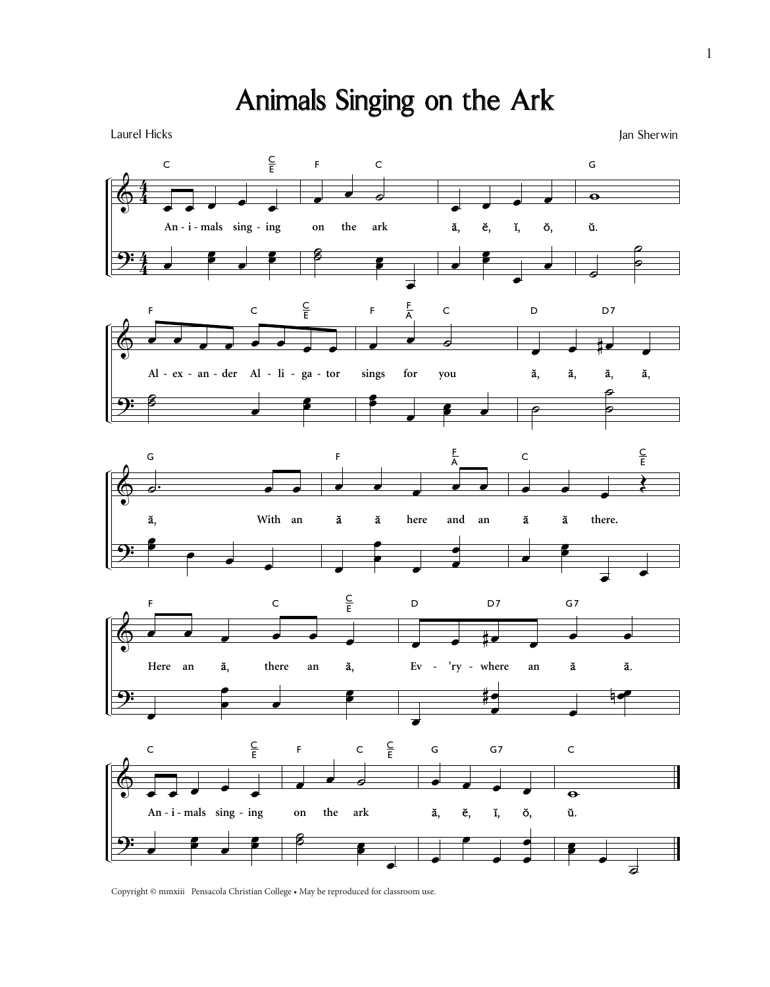

Laurel Hicks Jan Sherwin National Accounts 2012 12:00 12:00 12:00 12:00 12:00 12:00 12:00 12:00 12:00 12:00 12:00 12:00 12:00 12:00 12:00 12:00 12:00 12:00 12:00 12:00 12:00 12:00 12:00 12:00 12:00 12:00 12:00 12:00 12:00



Copyright © mmxiii Pensacola Christian College • May be reproduced for classroom use.